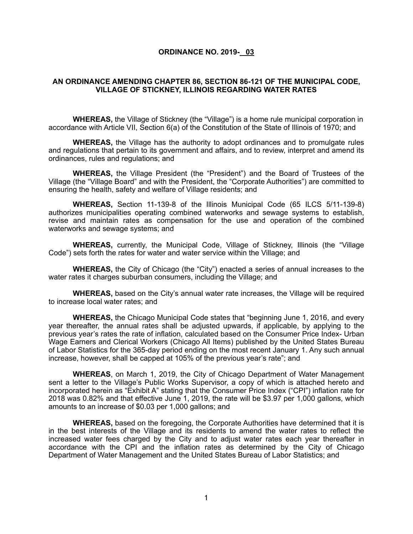### **ORDINANCE NO. 2019- 03**

## **AN ORDINANCE AMENDING CHAPTER 86, SECTION 86-121 OF THE MUNICIPAL CODE, VILLAGE OF STICKNEY, ILLINOIS REGARDING WATER RATES**

**WHEREAS,** the Village of Stickney (the "Village") is a home rule municipal corporation in accordance with Article VII, Section 6(a) of the Constitution of the State of Illinois of 1970; and

**WHEREAS,** the Village has the authority to adopt ordinances and to promulgate rules and regulations that pertain to its government and affairs, and to review, interpret and amend its ordinances, rules and regulations; and

**WHEREAS,** the Village President (the "President") and the Board of Trustees of the Village (the "Village Board" and with the President, the "Corporate Authorities") are committed to ensuring the health, safety and welfare of Village residents; and

**WHEREAS,** Section 11-139-8 of the Illinois Municipal Code (65 ILCS 5/11-139-8) authorizes municipalities operating combined waterworks and sewage systems to establish, revise and maintain rates as compensation for the use and operation of the combined waterworks and sewage systems; and

**WHEREAS,** currently, the Municipal Code, Village of Stickney, Illinois (the "Village Code") sets forth the rates for water and water service within the Village; and

**WHEREAS,** the City of Chicago (the "City") enacted a series of annual increases to the water rates it charges suburban consumers, including the Village; and

**WHEREAS,** based on the City's annual water rate increases, the Village will be required to increase local water rates; and

**WHEREAS,** the Chicago Municipal Code states that "beginning June 1, 2016, and every year thereafter, the annual rates shall be adjusted upwards, if applicable, by applying to the previous year's rates the rate of inflation, calculated based on the Consumer Price Index- Urban Wage Earners and Clerical Workers (Chicago All Items) published by the United States Bureau of Labor Statistics for the 365-day period ending on the most recent January 1. Any such annual increase, however, shall be capped at 105% of the previous year's rate"; and

 **WHEREAS**, on March 1, 2019, the City of Chicago Department of Water Management sent a letter to the Village's Public Works Supervisor, a copy of which is attached hereto and incorporated herein as "Exhibit A" stating that the Consumer Price Index ("CPI") inflation rate for 2018 was 0.82% and that effective June 1, 2019, the rate will be \$3.97 per 1,000 gallons, which amounts to an increase of \$0.03 per 1,000 gallons; and

**WHEREAS,** based on the foregoing, the Corporate Authorities have determined that it is in the best interests of the Village and its residents to amend the water rates to reflect the increased water fees charged by the City and to adjust water rates each year thereafter in accordance with the CPI and the inflation rates as determined by the City of Chicago Department of Water Management and the United States Bureau of Labor Statistics; and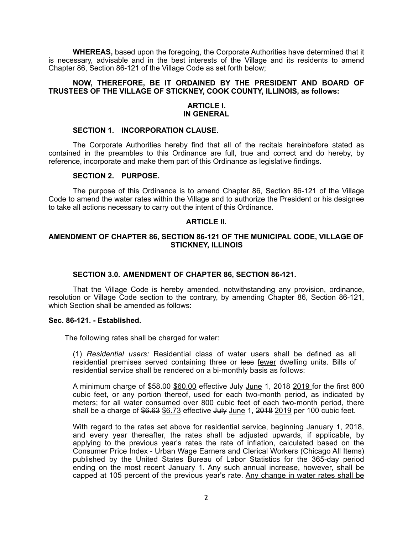**WHEREAS,** based upon the foregoing, the Corporate Authorities have determined that it is necessary, advisable and in the best interests of the Village and its residents to amend Chapter 86, Section 86-121 of the Village Code as set forth below;

## **NOW, THEREFORE, BE IT ORDAINED BY THE PRESIDENT AND BOARD OF TRUSTEES OF THE VILLAGE OF STICKNEY, COOK COUNTY, ILLINOIS, as follows:**

### **ARTICLE I. IN GENERAL**

## **SECTION 1. INCORPORATION CLAUSE.**

The Corporate Authorities hereby find that all of the recitals hereinbefore stated as contained in the preambles to this Ordinance are full, true and correct and do hereby, by reference, incorporate and make them part of this Ordinance as legislative findings.

## **SECTION 2. PURPOSE.**

The purpose of this Ordinance is to amend Chapter 86, Section 86-121 of the Village Code to amend the water rates within the Village and to authorize the President or his designee to take all actions necessary to carry out the intent of this Ordinance.

### **ARTICLE II.**

## **AMENDMENT OF CHAPTER 86, SECTION 86-121 OF THE MUNICIPAL CODE, VILLAGE OF STICKNEY, ILLINOIS**

## **SECTION 3.0. AMENDMENT OF CHAPTER 86, SECTION 86-121.**

That the Village Code is hereby amended, notwithstanding any provision, ordinance, resolution or Village Code section to the contrary, by amending Chapter 86, Section 86-121, which Section shall be amended as follows:

#### **Sec. 86-121. - Established.**

The following rates shall be charged for water:

(1) *Residential users:* Residential class of water users shall be defined as all residential premises served containing three or less fewer dwelling units. Bills of residential service shall be rendered on a bi-monthly basis as follows:

A minimum charge of \$58.00 \$60.00 effective July June 1, 2018 2019 for the first 800 cubic feet, or any portion thereof, used for each two-month period, as indicated by meters; for all water consumed over 800 cubic feet of each two-month period, there shall be a charge of  $$6.63$   $$6.73$  effective  $J$ uly June 1,  $2018$  2019 per 100 cubic feet.

With regard to the rates set above for residential service, beginning January 1, 2018, and every year thereafter, the rates shall be adjusted upwards, if applicable, by applying to the previous year's rates the rate of inflation, calculated based on the Consumer Price Index - Urban Wage Earners and Clerical Workers (Chicago All Items) published by the United States Bureau of Labor Statistics for the 365-day period ending on the most recent January 1. Any such annual increase, however, shall be capped at 105 percent of the previous year's rate. Any change in water rates shall be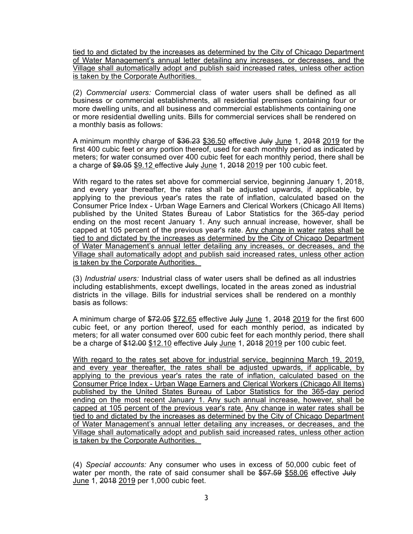tied to and dictated by the increases as determined by the City of Chicago Department of Water Management's annual letter detailing any increases, or decreases, and the Village shall automatically adopt and publish said increased rates, unless other action is taken by the Corporate Authorities.

(2) *Commercial users:* Commercial class of water users shall be defined as all business or commercial establishments, all residential premises containing four or more dwelling units, and all business and commercial establishments containing one or more residential dwelling units. Bills for commercial services shall be rendered on a monthly basis as follows:

A minimum monthly charge of \$36.23 \$36.50 effective July June 1, 2018 2019 for the first 400 cubic feet or any portion thereof, used for each monthly period as indicated by meters; for water consumed over 400 cubic feet for each monthly period, there shall be a charge of \$9.05 \$9.12 effective July June 1, 2018 2019 per 100 cubic feet.

With regard to the rates set above for commercial service, beginning January 1, 2018, and every year thereafter, the rates shall be adjusted upwards, if applicable, by applying to the previous year's rates the rate of inflation, calculated based on the Consumer Price Index - Urban Wage Earners and Clerical Workers (Chicago All Items) published by the United States Bureau of Labor Statistics for the 365-day period ending on the most recent January 1. Any such annual increase, however, shall be capped at 105 percent of the previous year's rate. Any change in water rates shall be tied to and dictated by the increases as determined by the City of Chicago Department of Water Management's annual letter detailing any increases, or decreases, and the Village shall automatically adopt and publish said increased rates, unless other action is taken by the Corporate Authorities.

(3) *Industrial users:* Industrial class of water users shall be defined as all industries including establishments, except dwellings, located in the areas zoned as industrial districts in the village. Bills for industrial services shall be rendered on a monthly basis as follows:

A minimum charge of \$72.05 \$72.65 effective July June 1, 2018 2019 for the first 600 cubic feet, or any portion thereof, used for each monthly period, as indicated by meters; for all water consumed over 600 cubic feet for each monthly period, there shall be a charge of \$12.00 \$12.10 effective July June 1, 2018 2019 per 100 cubic feet.

With regard to the rates set above for industrial service, beginning March 19, 2019, and every year thereafter, the rates shall be adjusted upwards, if applicable, by applying to the previous year's rates the rate of inflation, calculated based on the Consumer Price Index - Urban Wage Earners and Clerical Workers (Chicago All Items) published by the United States Bureau of Labor Statistics for the 365-day period ending on the most recent January 1. Any such annual increase, however, shall be capped at 105 percent of the previous year's rate. Any change in water rates shall be tied to and dictated by the increases as determined by the City of Chicago Department of Water Management's annual letter detailing any increases, or decreases, and the Village shall automatically adopt and publish said increased rates, unless other action is taken by the Corporate Authorities.

(4) *Special accounts:* Any consumer who uses in excess of 50,000 cubic feet of water per month, the rate of said consumer shall be \$57.59 \$58.06 effective July June 1, 2018 2019 per 1,000 cubic feet.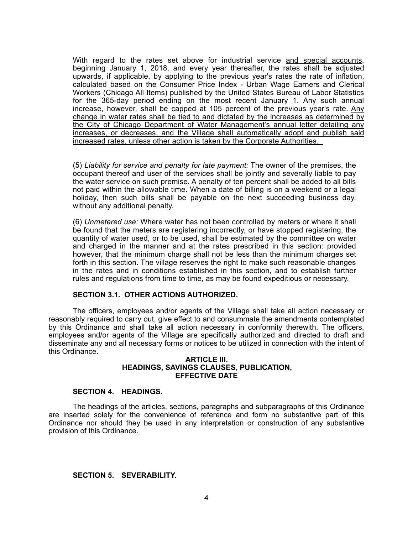With regard to the rates set above for industrial service and special accounts, beginning January 1, 2018, and every year thereafter, the rates shall be adjusted upwards, if applicable, by applying to the previous year's rates the rate of inflation, calculated based on the Consumer Price Index - Urban Wage Earners and Clerical Workers (Chicago All Items) published by the United States Bureau of Labor Statistics for the 365-day period ending on the most recent January 1. Any such annual increase, however, shall be capped at 105 percent of the previous year's rate. Any change in water rates shall be tied to and dictated by the increases as determined by the City of Chicago Department of Water Management's annual letter detailing any increases, or decreases, and the Village shall automatically adopt and publish said increased rates, unless other action is taken by the Corporate Authorities.

(5) *Liability for service and penalty for late payment:* The owner of the premises, the occupant thereof and user of the services shall be jointly and severally liable to pay the water service on such premise. A penalty of ten percent shall be added to all bills not paid within the allowable time. When a date of billing is on a weekend or a legal holiday, then such bills shall be payable on the next succeeding business day, without any additional penalty.

(6) *Unmetered use:* Where water has not been controlled by meters or where it shall be found that the meters are registering incorrectly, or have stopped registering, the quantity of water used, or to be used, shall be estimated by the committee on water and charged in the manner and at the rates prescribed in this section: provided however, that the minimum charge shall not be less than the minimum charges set forth in this section. The village reserves the right to make such reasonable changes in the rates and in conditions established in this section, and to establish further rules and regulations from time to time, as may be found expeditious or necessary.

## **SECTION 3.1. OTHER ACTIONS AUTHORIZED.**

The officers, employees and/or agents of the Village shall take all action necessary or reasonably required to carry out, give effect to and consummate the amendments contemplated by this Ordinance and shall take all action necessary in conformity therewith. The officers, employees and/or agents of the Village are specifically authorized and directed to draft and disseminate any and all necessary forms or notices to be utilized in connection with the intent of this Ordinance.

#### **ARTICLE III. HEADINGS, SAVINGS CLAUSES, PUBLICATION, EFFECTIVE DATE**

## **SECTION 4. HEADINGS.**

The headings of the articles, sections, paragraphs and subparagraphs of this Ordinance are inserted solely for the convenience of reference and form no substantive part of this Ordinance nor should they be used in any interpretation or construction of any substantive provision of this Ordinance.

# **SECTION 5. SEVERABILITY.**